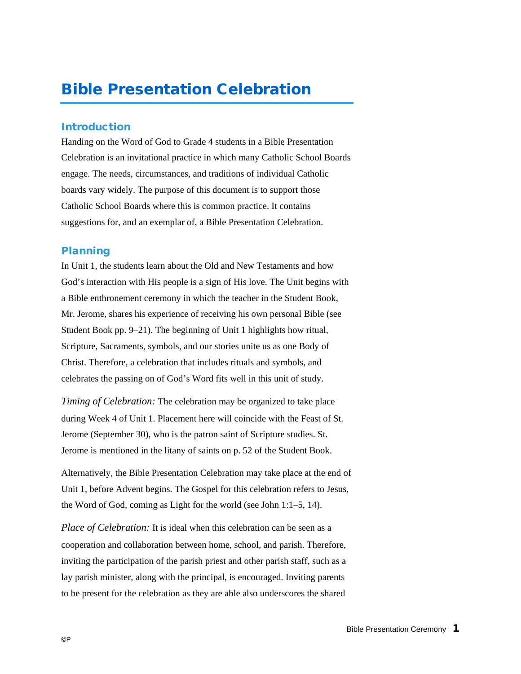# Bible Presentation Celebration

## Introduction

Handing on the Word of God to Grade 4 students in a Bible Presentation Celebration is an invitational practice in which many Catholic School Boards engage. The needs, circumstances, and traditions of individual Catholic boards vary widely. The purpose of this document is to support those Catholic School Boards where this is common practice. It contains suggestions for, and an exemplar of, a Bible Presentation Celebration.

#### Planning

In Unit 1, the students learn about the Old and New Testaments and how God's interaction with His people is a sign of His love. The Unit begins with a Bible enthronement ceremony in which the teacher in the Student Book, Mr. Jerome, shares his experience of receiving his own personal Bible (see Student Book pp. 9–21). The beginning of Unit 1 highlights how ritual, Scripture, Sacraments, symbols, and our stories unite us as one Body of Christ. Therefore, a celebration that includes rituals and symbols, and celebrates the passing on of God's Word fits well in this unit of study.

*Timing of Celebration:* The celebration may be organized to take place during Week 4 of Unit 1. Placement here will coincide with the Feast of St. Jerome (September 30), who is the patron saint of Scripture studies. St. Jerome is mentioned in the litany of saints on p. 52 of the Student Book.

Alternatively, the Bible Presentation Celebration may take place at the end of Unit 1, before Advent begins. The Gospel for this celebration refers to Jesus, the Word of God, coming as Light for the world (see John 1:1–5, 14).

*Place of Celebration:* It is ideal when this celebration can be seen as a cooperation and collaboration between home, school, and parish. Therefore, inviting the participation of the parish priest and other parish staff, such as a lay parish minister, along with the principal, is encouraged. Inviting parents to be present for the celebration as they are able also underscores the shared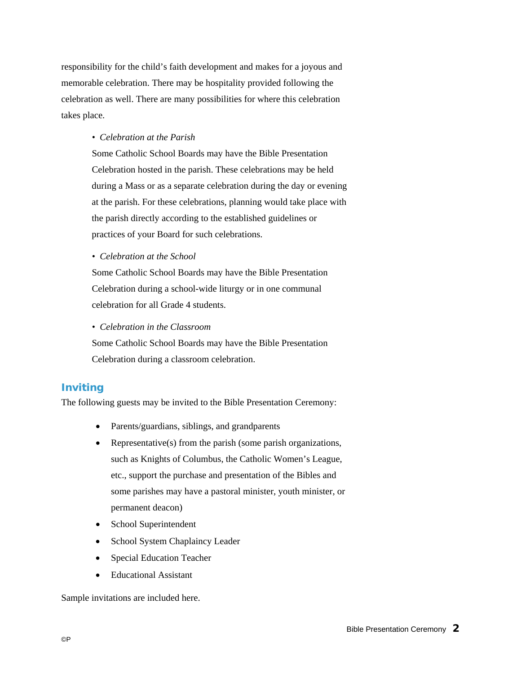responsibility for the child's faith development and makes for a joyous and memorable celebration. There may be hospitality provided following the celebration as well. There are many possibilities for where this celebration takes place.

#### *• Celebration at the Parish*

Some Catholic School Boards may have the Bible Presentation Celebration hosted in the parish. These celebrations may be held during a Mass or as a separate celebration during the day or evening at the parish. For these celebrations, planning would take place with the parish directly according to the established guidelines or practices of your Board for such celebrations.

*• Celebration at the School*

Some Catholic School Boards may have the Bible Presentation Celebration during a school-wide liturgy or in one communal celebration for all Grade 4 students.

*• Celebration in the Classroom*

Some Catholic School Boards may have the Bible Presentation Celebration during a classroom celebration.

# Inviting

The following guests may be invited to the Bible Presentation Ceremony:

- Parents/guardians, siblings, and grandparents
- Representative(s) from the parish (some parish organizations, such as Knights of Columbus, the Catholic Women's League, etc., support the purchase and presentation of the Bibles and some parishes may have a pastoral minister, youth minister, or permanent deacon)
- School Superintendent
- School System Chaplaincy Leader
- Special Education Teacher
- Educational Assistant

Sample invitations are included here.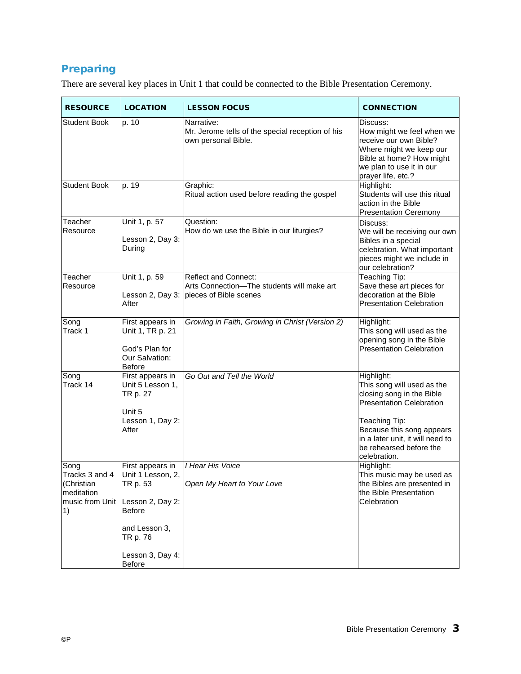# Preparing

There are several key places in Unit 1 that could be connected to the Bible Presentation Ceremony.

| <b>RESOURCE</b>                                                             | <b>LOCATION</b>                                                                                                                                          | <b>LESSON FOCUS</b>                                                                                 | <b>CONNECTION</b>                                                                                                                                                                                                                     |
|-----------------------------------------------------------------------------|----------------------------------------------------------------------------------------------------------------------------------------------------------|-----------------------------------------------------------------------------------------------------|---------------------------------------------------------------------------------------------------------------------------------------------------------------------------------------------------------------------------------------|
| Student Book                                                                | p. 10                                                                                                                                                    | Narrative:<br>Mr. Jerome tells of the special reception of his<br>own personal Bible.               | Discuss:<br>How might we feel when we<br>receive our own Bible?<br>Where might we keep our<br>Bible at home? How might<br>we plan to use it in our<br>prayer life, etc.?                                                              |
| <b>Student Book</b>                                                         | p. 19                                                                                                                                                    | Graphic:<br>Ritual action used before reading the gospel                                            | Highlight:<br>Students will use this ritual<br>action in the Bible<br><b>Presentation Ceremony</b>                                                                                                                                    |
| Teacher<br>Resource                                                         | Unit 1, p. 57<br>Lesson 2, Day 3:<br>During                                                                                                              | Question:<br>How do we use the Bible in our liturgies?                                              | Discuss:<br>We will be receiving our own<br>Bibles in a special<br>celebration. What important<br>pieces might we include in<br>our celebration?                                                                                      |
| Teacher<br>Resource                                                         | Unit 1, p. 59<br>Lesson 2, Day 3:<br>After                                                                                                               | <b>Reflect and Connect:</b><br>Arts Connection-The students will make art<br>pieces of Bible scenes | Teaching Tip:<br>Save these art pieces for<br>decoration at the Bible<br><b>Presentation Celebration</b>                                                                                                                              |
| Song<br>Track 1                                                             | First appears in<br>Unit 1, TR p. 21<br>God's Plan for<br>Our Salvation:<br>Before                                                                       | Growing in Faith, Growing in Christ (Version 2)                                                     | Highlight:<br>This song will used as the<br>opening song in the Bible<br><b>Presentation Celebration</b>                                                                                                                              |
| Song<br>Track 14                                                            | First appears in<br>Unit 5 Lesson 1,<br>TR p. 27<br>Unit 5<br>Lesson 1, Day 2:<br>After                                                                  | Go Out and Tell the World                                                                           | Highlight:<br>This song will used as the<br>closing song in the Bible<br><b>Presentation Celebration</b><br>Teaching Tip:<br>Because this song appears<br>in a later unit, it will need to<br>be rehearsed before the<br>celebration. |
| Song<br>Tracks 3 and 4<br>(Christian<br>meditation<br>music from Unit<br>1) | First appears in<br>Unit 1 Lesson, 2,<br>TR p. 53<br>Lesson 2, Day 2:<br><b>Before</b><br>and Lesson 3,<br>TR p. 76<br>Lesson 3, Day 4:<br><b>Before</b> | I Hear His Voice<br>Open My Heart to Your Love                                                      | Highlight:<br>This music may be used as<br>the Bibles are presented in<br>the Bible Presentation<br>Celebration                                                                                                                       |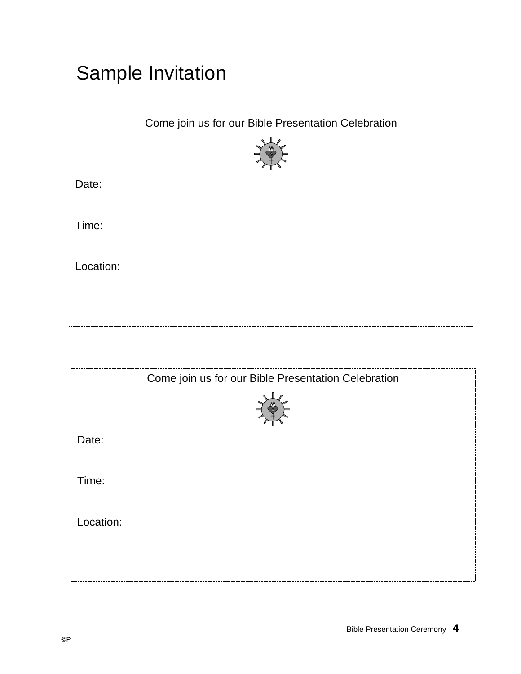# Sample Invitation

|           | Come join us for our Bible Presentation Celebration |
|-----------|-----------------------------------------------------|
| Date:     |                                                     |
| Time:     |                                                     |
| Location: |                                                     |
|           |                                                     |

|           | Come join us for our Bible Presentation Celebration |
|-----------|-----------------------------------------------------|
|           |                                                     |
| Date:     |                                                     |
| Time:     |                                                     |
| Location: |                                                     |
|           |                                                     |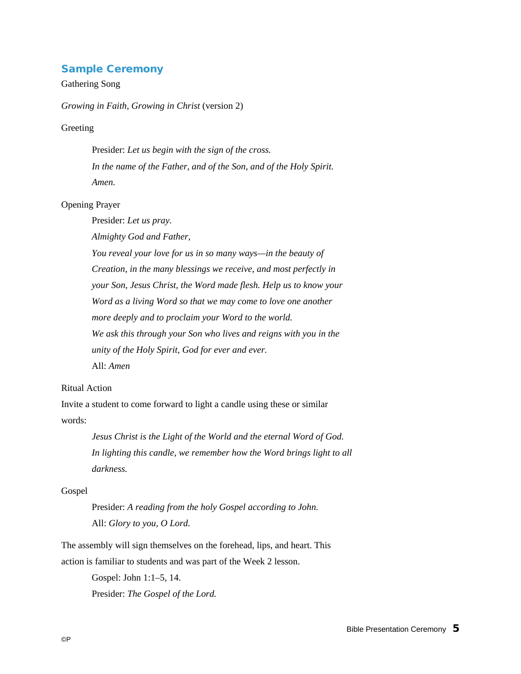# Sample Ceremony

# Gathering Song

*Growing in Faith, Growing in Christ* (version 2)

#### Greeting

Presider: *Let us begin with the sign of the cross. In the name of the Father, and of the Son, and of the Holy Spirit. Amen.*

#### Opening Prayer

Presider: *Let us pray.* 

*Almighty God and Father,*

*You reveal your love for us in so many ways—in the beauty of Creation, in the many blessings we receive, and most perfectly in your Son, Jesus Christ, the Word made flesh. Help us to know your Word as a living Word so that we may come to love one another more deeply and to proclaim your Word to the world. We ask this through your Son who lives and reigns with you in the unity of the Holy Spirit, God for ever and ever.*  All: *Amen*

#### Ritual Action

Invite a student to come forward to light a candle using these or similar words:

> *Jesus Christ is the Light of the World and the eternal Word of God. In lighting this candle, we remember how the Word brings light to all darkness.*

#### Gospel

Presider: *A reading from the holy Gospel according to John.* All: *Glory to you, O Lord.*

The assembly will sign themselves on the forehead, lips, and heart. This action is familiar to students and was part of the Week 2 lesson.

> Gospel: John 1:1–5, 14. Presider: *The Gospel of the Lord.*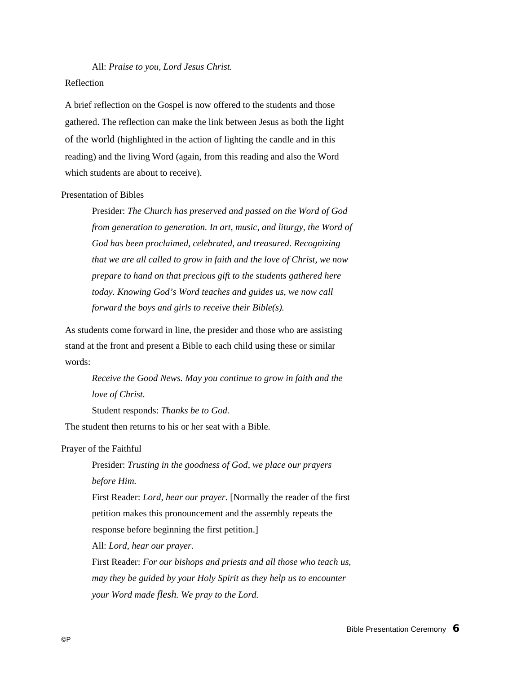All: *Praise to you, Lord Jesus Christ.*

#### Reflection

A brief reflection on the Gospel is now offered to the students and those gathered. The reflection can make the link between Jesus as both the light of the world (highlighted in the action of lighting the candle and in this reading) and the living Word (again, from this reading and also the Word which students are about to receive).

### Presentation of Bibles

Presider: *The Church has preserved and passed on the Word of God from generation to generation. In art, music, and liturgy, the Word of God has been proclaimed, celebrated, and treasured. Recognizing that we are all called to grow in faith and the love of Christ, we now prepare to hand on that precious gift to the students gathered here today. Knowing God's Word teaches and guides us, we now call forward the boys and girls to receive their Bible(s).*

As students come forward in line, the presider and those who are assisting stand at the front and present a Bible to each child using these or similar words:

*Receive the Good News. May you continue to grow in faith and the love of Christ.*

Student responds: *Thanks be to God.*

The student then returns to his or her seat with a Bible.

Prayer of the Faithful

Presider: *Trusting in the goodness of God, we place our prayers before Him.*

First Reader: *Lord, hear our prayer*. [Normally the reader of the first petition makes this pronouncement and the assembly repeats the response before beginning the first petition.]

All: *Lord, hear our prayer*.

First Reader: *For our bishops and priests and all those who teach us, may they be guided by your Holy Spirit as they help us to encounter your Word made flesh. We pray to the Lord.*